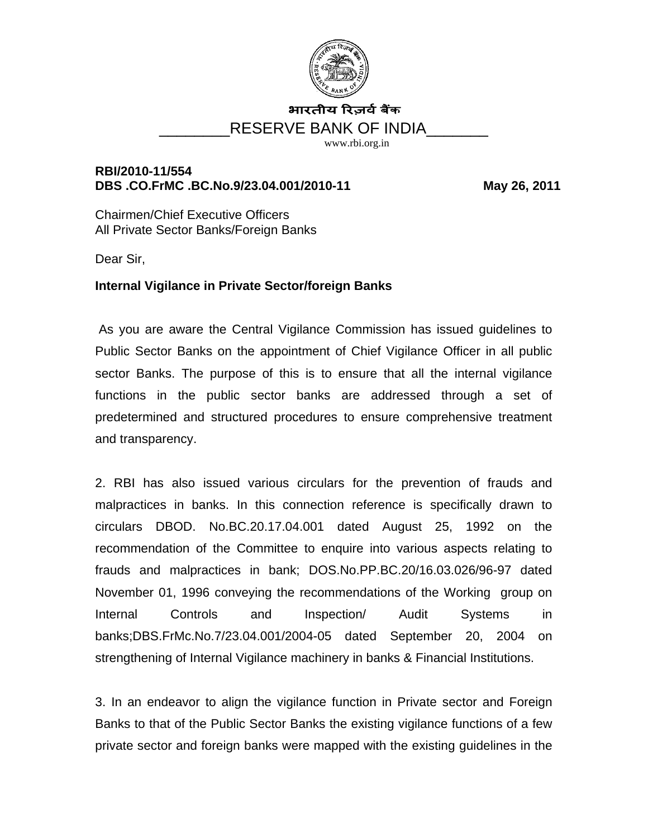

# भारतीय रिजर्व बैंक RESERVE BANK OF INDIA

[www.rbi.org.in](http://www.rbi.org.in/)

## **RBI/2010-11/554**  DBS .CO.FrMC .BC.No.9/23.04.001/2010-11 May 26, 2011

Chairmen/Chief Executive Officers All Private Sector Banks/Foreign Banks

Dear Sir,

# **Internal Vigilance in Private Sector/foreign Banks**

 As you are aware the Central Vigilance Commission has issued guidelines to Public Sector Banks on the appointment of Chief Vigilance Officer in all public sector Banks. The purpose of this is to ensure that all the internal vigilance functions in the public sector banks are addressed through a set of predetermined and structured procedures to ensure comprehensive treatment and transparency.

2. RBI has also issued various circulars for the prevention of frauds and malpractices in banks. In this connection reference is specifically drawn to circulars DBOD. No.BC.20.17.04.001 dated August 25, 1992 on the recommendation of the Committee to enquire into various aspects relating to frauds and malpractices in bank; DOS.No.PP.BC.20/16.03.026/96-97 dated November 01, 1996 conveying the recommendations of the Working group on Internal Controls and Inspection/ Audit Systems in banks;DBS.FrMc.No.7/23.04.001/2004-05 dated September 20, 2004 on strengthening of Internal Vigilance machinery in banks & Financial Institutions.

3. In an endeavor to align the vigilance function in Private sector and Foreign Banks to that of the Public Sector Banks the existing vigilance functions of a few private sector and foreign banks were mapped with the existing guidelines in the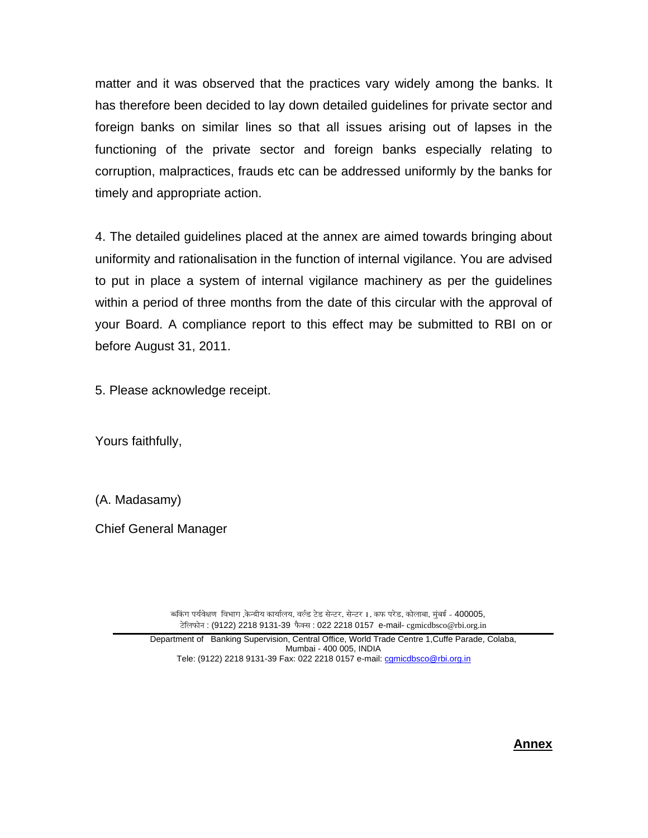matter and it was observed that the practices vary widely among the banks. It has therefore been decided to lay down detailed guidelines for private sector and foreign banks on similar lines so that all issues arising out of lapses in the functioning of the private sector and foreign banks especially relating to corruption, malpractices, frauds etc can be addressed uniformly by the banks for timely and appropriate action.

4. The detailed guidelines placed at the annex are aimed towards bringing about uniformity and rationalisation in the function of internal vigilance. You are advised to put in place a system of internal vigilance machinery as per the guidelines within a period of three months from the date of this circular with the approval of your Board. A compliance report to this effect may be submitted to RBI on or before August 31, 2011.

5. Please acknowledge receipt.

Yours faithfully,

(A. Madasamy)

Chief General Manager

ब्बिंग पर्यवेक्षण विभाग ,केन्द्रीय कार्यालय, वर्ल्ड टेड सेन्टर, सेन्टर 1, कफ परेड, कोलाबा, मुंबई - 400005, टेलिफोन : (9122) 2218 9131-39 फैक्स : 022 2218 0157 e-mail- cgmicdbsco@rbi.org.in

Department of Banking Supervision, Central Office, World Trade Centre 1,Cuffe Parade, Colaba, Mumbai - 400 005, INDIA Tele: (9122) 2218 9131-39 Fax: 022 2218 0157 e-mail: [cgmicdbsco@rbi.org.in](mailto:cgmicdbsco@rbi.org.in)

**Annex**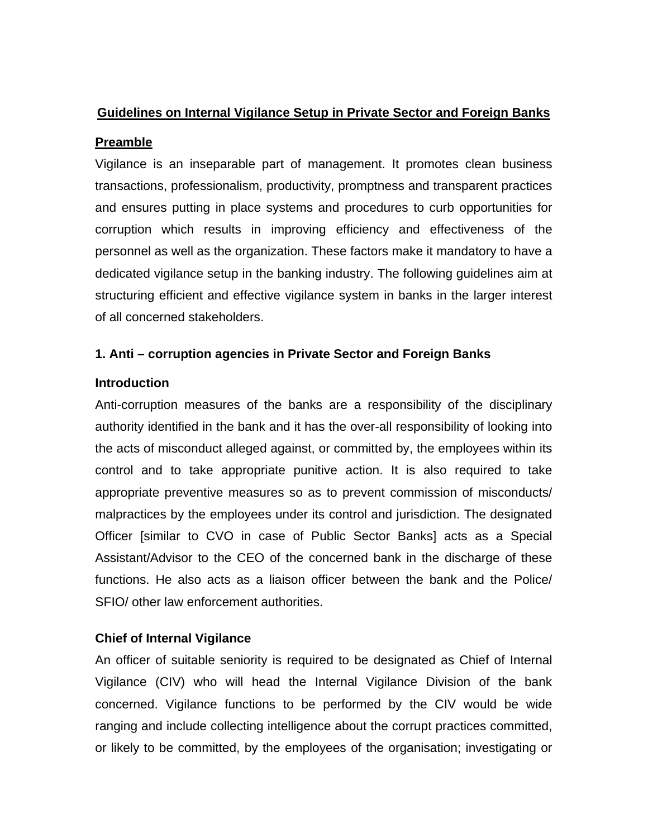# **Guidelines on Internal Vigilance Setup in Private Sector and Foreign Banks**

# **Preamble**

Vigilance is an inseparable part of management. It promotes clean business transactions, professionalism, productivity, promptness and transparent practices and ensures putting in place systems and procedures to curb opportunities for corruption which results in improving efficiency and effectiveness of the personnel as well as the organization. These factors make it mandatory to have a dedicated vigilance setup in the banking industry. The following guidelines aim at structuring efficient and effective vigilance system in banks in the larger interest of all concerned stakeholders.

# **1. Anti – corruption agencies in Private Sector and Foreign Banks**

## **Introduction**

Anti-corruption measures of the banks are a responsibility of the disciplinary authority identified in the bank and it has the over-all responsibility of looking into the acts of misconduct alleged against, or committed by, the employees within its control and to take appropriate punitive action. It is also required to take appropriate preventive measures so as to prevent commission of misconducts/ malpractices by the employees under its control and jurisdiction. The designated Officer [similar to CVO in case of Public Sector Banks] acts as a Special Assistant/Advisor to the CEO of the concerned bank in the discharge of these functions. He also acts as a liaison officer between the bank and the Police/ SFIO/ other law enforcement authorities.

## **Chief of Internal Vigilance**

An officer of suitable seniority is required to be designated as Chief of Internal Vigilance (CIV) who will head the Internal Vigilance Division of the bank concerned. Vigilance functions to be performed by the CIV would be wide ranging and include collecting intelligence about the corrupt practices committed, or likely to be committed, by the employees of the organisation; investigating or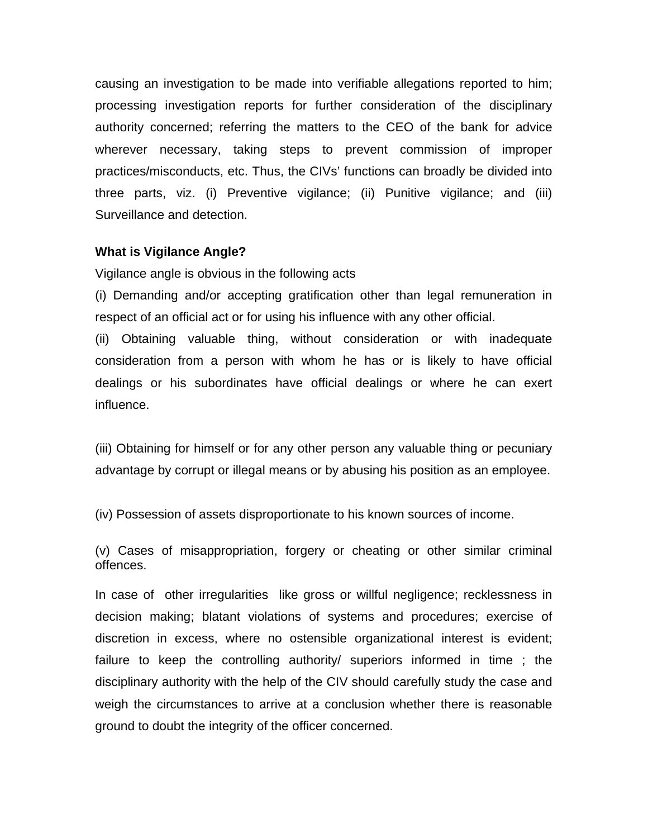causing an investigation to be made into verifiable allegations reported to him; processing investigation reports for further consideration of the disciplinary authority concerned; referring the matters to the CEO of the bank for advice wherever necessary, taking steps to prevent commission of improper practices/misconducts, etc. Thus, the CIVs' functions can broadly be divided into three parts, viz. (i) Preventive vigilance; (ii) Punitive vigilance; and (iii) Surveillance and detection.

#### **What is Vigilance Angle?**

Vigilance angle is obvious in the following acts

(i) Demanding and/or accepting gratification other than legal remuneration in respect of an official act or for using his influence with any other official.

(ii) Obtaining valuable thing, without consideration or with inadequate consideration from a person with whom he has or is likely to have official dealings or his subordinates have official dealings or where he can exert influence.

(iii) Obtaining for himself or for any other person any valuable thing or pecuniary advantage by corrupt or illegal means or by abusing his position as an employee.

(iv) Possession of assets disproportionate to his known sources of income.

(v) Cases of misappropriation, forgery or cheating or other similar criminal offences.

In case of other irregularities like gross or willful negligence; recklessness in decision making; blatant violations of systems and procedures; exercise of discretion in excess, where no ostensible organizational interest is evident; failure to keep the controlling authority/ superiors informed in time ; the disciplinary authority with the help of the CIV should carefully study the case and weigh the circumstances to arrive at a conclusion whether there is reasonable ground to doubt the integrity of the officer concerned.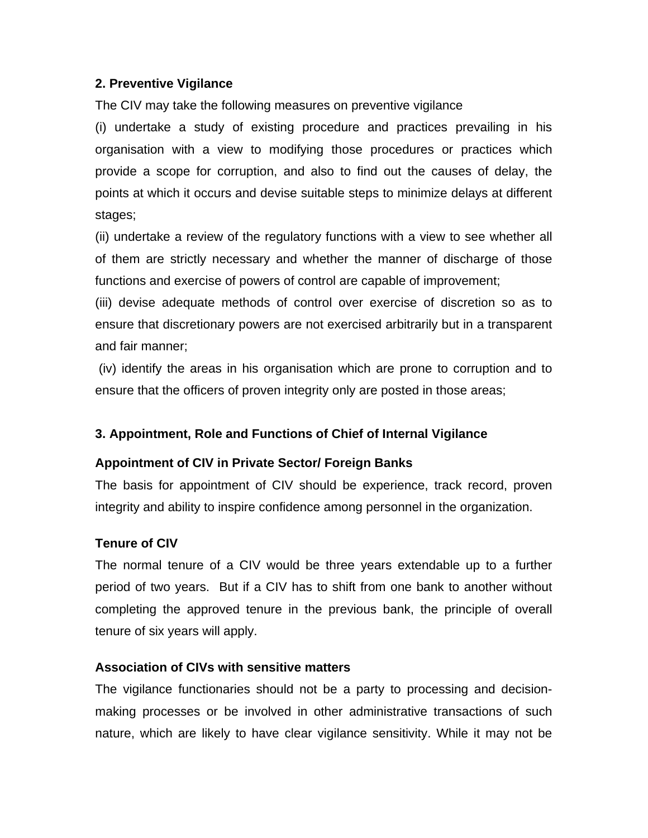#### **2. Preventive Vigilance**

The CIV may take the following measures on preventive vigilance

(i) undertake a study of existing procedure and practices prevailing in his organisation with a view to modifying those procedures or practices which provide a scope for corruption, and also to find out the causes of delay, the points at which it occurs and devise suitable steps to minimize delays at different stages;

(ii) undertake a review of the regulatory functions with a view to see whether all of them are strictly necessary and whether the manner of discharge of those functions and exercise of powers of control are capable of improvement;

(iii) devise adequate methods of control over exercise of discretion so as to ensure that discretionary powers are not exercised arbitrarily but in a transparent and fair manner;

 (iv) identify the areas in his organisation which are prone to corruption and to ensure that the officers of proven integrity only are posted in those areas;

## **3. Appointment, Role and Functions of Chief of Internal Vigilance**

## **Appointment of CIV in Private Sector/ Foreign Banks**

The basis for appointment of CIV should be experience, track record, proven integrity and ability to inspire confidence among personnel in the organization.

## **Tenure of CIV**

The normal tenure of a CIV would be three years extendable up to a further period of two years. But if a CIV has to shift from one bank to another without completing the approved tenure in the previous bank, the principle of overall tenure of six years will apply.

#### **Association of CIVs with sensitive matters**

The vigilance functionaries should not be a party to processing and decisionmaking processes or be involved in other administrative transactions of such nature, which are likely to have clear vigilance sensitivity. While it may not be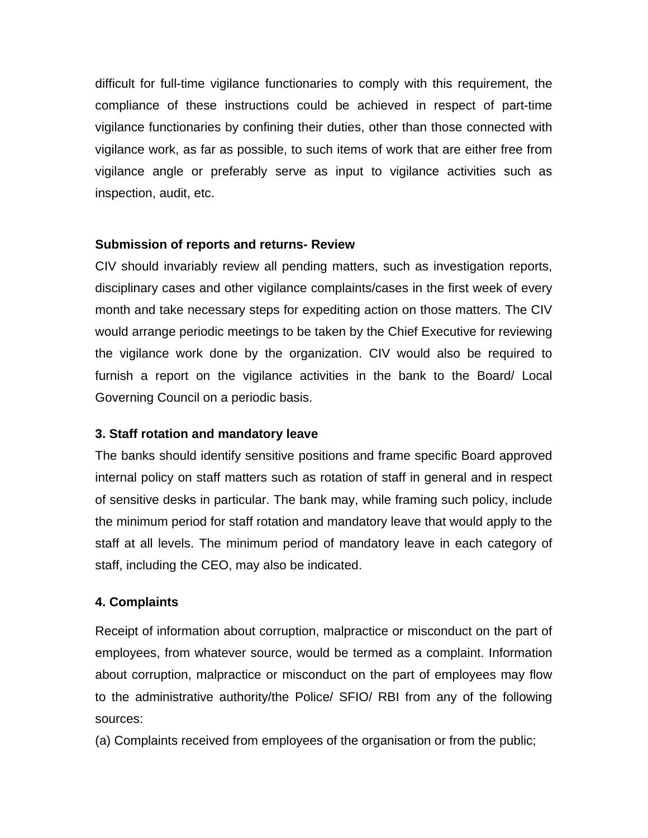difficult for full-time vigilance functionaries to comply with this requirement, the compliance of these instructions could be achieved in respect of part-time vigilance functionaries by confining their duties, other than those connected with vigilance work, as far as possible, to such items of work that are either free from vigilance angle or preferably serve as input to vigilance activities such as inspection, audit, etc.

#### **Submission of reports and returns- Review**

CIV should invariably review all pending matters, such as investigation reports, disciplinary cases and other vigilance complaints/cases in the first week of every month and take necessary steps for expediting action on those matters. The CIV would arrange periodic meetings to be taken by the Chief Executive for reviewing the vigilance work done by the organization. CIV would also be required to furnish a report on the vigilance activities in the bank to the Board/ Local Governing Council on a periodic basis.

## **3. Staff rotation and mandatory leave**

The banks should identify sensitive positions and frame specific Board approved internal policy on staff matters such as rotation of staff in general and in respect of sensitive desks in particular. The bank may, while framing such policy, include the minimum period for staff rotation and mandatory leave that would apply to the staff at all levels. The minimum period of mandatory leave in each category of staff, including the CEO, may also be indicated.

#### **4. Complaints**

Receipt of information about corruption, malpractice or misconduct on the part of employees, from whatever source, would be termed as a complaint. Information about corruption, malpractice or misconduct on the part of employees may flow to the administrative authority/the Police/ SFIO/ RBI from any of the following sources:

(a) Complaints received from employees of the organisation or from the public;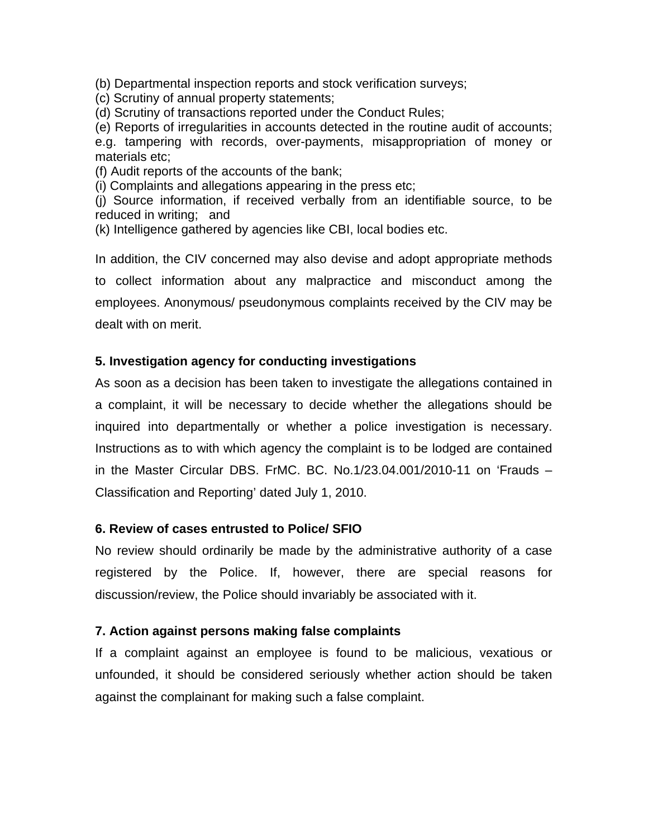(b) Departmental inspection reports and stock verification surveys;

(c) Scrutiny of annual property statements;

(d) Scrutiny of transactions reported under the Conduct Rules;

(e) Reports of irregularities in accounts detected in the routine audit of accounts; e.g. tampering with records, over-payments, misappropriation of money or materials etc;

- (f) Audit reports of the accounts of the bank;
- (i) Complaints and allegations appearing in the press etc;

(j) Source information, if received verbally from an identifiable source, to be reduced in writing; and

(k) Intelligence gathered by agencies like CBI, local bodies etc.

In addition, the CIV concerned may also devise and adopt appropriate methods to collect information about any malpractice and misconduct among the employees. Anonymous/ pseudonymous complaints received by the CIV may be dealt with on merit.

#### **5. Investigation agency for conducting investigations**

As soon as a decision has been taken to investigate the allegations contained in a complaint, it will be necessary to decide whether the allegations should be inquired into departmentally or whether a police investigation is necessary. Instructions as to with which agency the complaint is to be lodged are contained in the Master Circular DBS. FrMC. BC. No.1/23.04.001/2010-11 on 'Frauds – Classification and Reporting' dated July 1, 2010.

#### **6. Review of cases entrusted to Police/ SFIO**

No review should ordinarily be made by the administrative authority of a case registered by the Police. If, however, there are special reasons for discussion/review, the Police should invariably be associated with it.

#### **7. Action against persons making false complaints**

If a complaint against an employee is found to be malicious, vexatious or unfounded, it should be considered seriously whether action should be taken against the complainant for making such a false complaint.